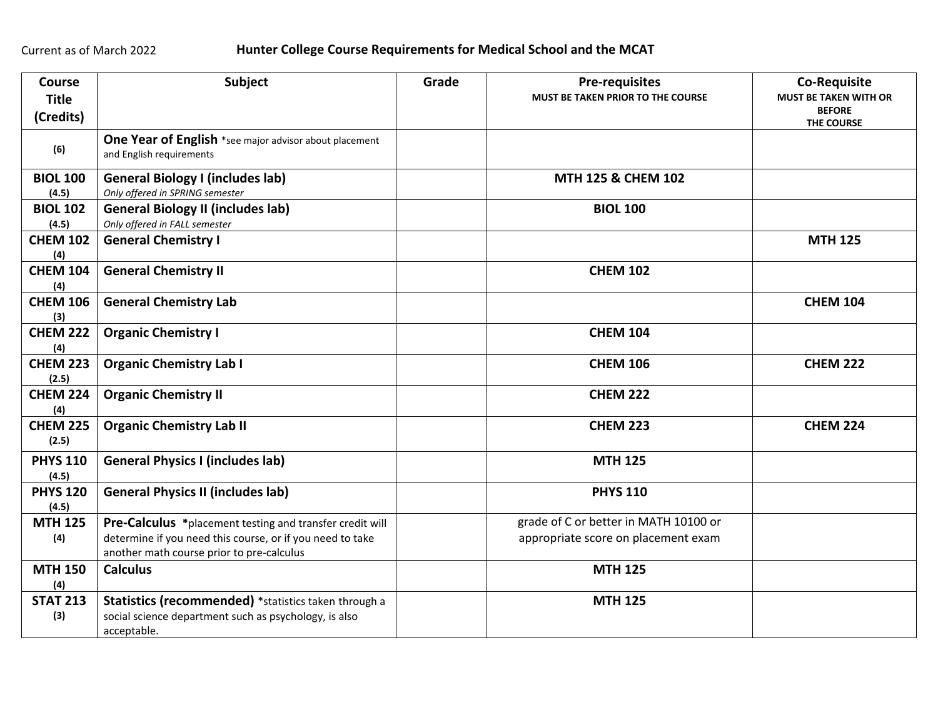| <b>Course</b><br><b>Title</b><br>(Credits) | Subject                                                                                                                                                            | Grade | <b>Pre-requisites</b><br>MUST BE TAKEN PRIOR TO THE COURSE                   | <b>Co-Requisite</b><br><b>MUST BE TAKEN WITH OR</b><br><b>BEFORE</b><br>THE COURSE |
|--------------------------------------------|--------------------------------------------------------------------------------------------------------------------------------------------------------------------|-------|------------------------------------------------------------------------------|------------------------------------------------------------------------------------|
| (6)                                        | One Year of English *see major advisor about placement<br>and English requirements                                                                                 |       |                                                                              |                                                                                    |
| <b>BIOL 100</b><br>(4.5)                   | <b>General Biology I (includes lab)</b><br>Only offered in SPRING semester                                                                                         |       | MTH 125 & CHEM 102                                                           |                                                                                    |
| <b>BIOL 102</b><br>(4.5)                   | <b>General Biology II (includes lab)</b><br>Only offered in FALL semester                                                                                          |       | <b>BIOL 100</b>                                                              |                                                                                    |
| <b>CHEM 102</b><br>(4)                     | <b>General Chemistry I</b>                                                                                                                                         |       |                                                                              | <b>MTH 125</b>                                                                     |
| <b>CHEM 104</b><br>(4)                     | <b>General Chemistry II</b>                                                                                                                                        |       | <b>CHEM 102</b>                                                              |                                                                                    |
| <b>CHEM 106</b><br>(3)                     | <b>General Chemistry Lab</b>                                                                                                                                       |       |                                                                              | <b>CHEM 104</b>                                                                    |
| <b>CHEM 222</b><br>(4)                     | <b>Organic Chemistry I</b>                                                                                                                                         |       | <b>CHEM 104</b>                                                              |                                                                                    |
| <b>CHEM 223</b><br>(2.5)                   | <b>Organic Chemistry Lab I</b>                                                                                                                                     |       | <b>CHEM 106</b>                                                              | <b>CHEM 222</b>                                                                    |
| <b>CHEM 224</b><br>(4)                     | <b>Organic Chemistry II</b>                                                                                                                                        |       | <b>CHEM 222</b>                                                              |                                                                                    |
| <b>CHEM 225</b><br>(2.5)                   | <b>Organic Chemistry Lab II</b>                                                                                                                                    |       | <b>CHEM 223</b>                                                              | <b>CHEM 224</b>                                                                    |
| <b>PHYS 110</b><br>(4.5)                   | <b>General Physics I (includes lab)</b>                                                                                                                            |       | <b>MTH 125</b>                                                               |                                                                                    |
| <b>PHYS 120</b><br>(4.5)                   | <b>General Physics II (includes lab)</b>                                                                                                                           |       | <b>PHYS 110</b>                                                              |                                                                                    |
| <b>MTH 125</b><br>(4)                      | Pre-Calculus *placement testing and transfer credit will<br>determine if you need this course, or if you need to take<br>another math course prior to pre-calculus |       | grade of C or better in MATH 10100 or<br>appropriate score on placement exam |                                                                                    |
| <b>MTH 150</b><br>(4)                      | <b>Calculus</b>                                                                                                                                                    |       | <b>MTH 125</b>                                                               |                                                                                    |
| <b>STAT 213</b><br>(3)                     | Statistics (recommended) *statistics taken through a<br>social science department such as psychology, is also<br>acceptable.                                       |       | <b>MTH 125</b>                                                               |                                                                                    |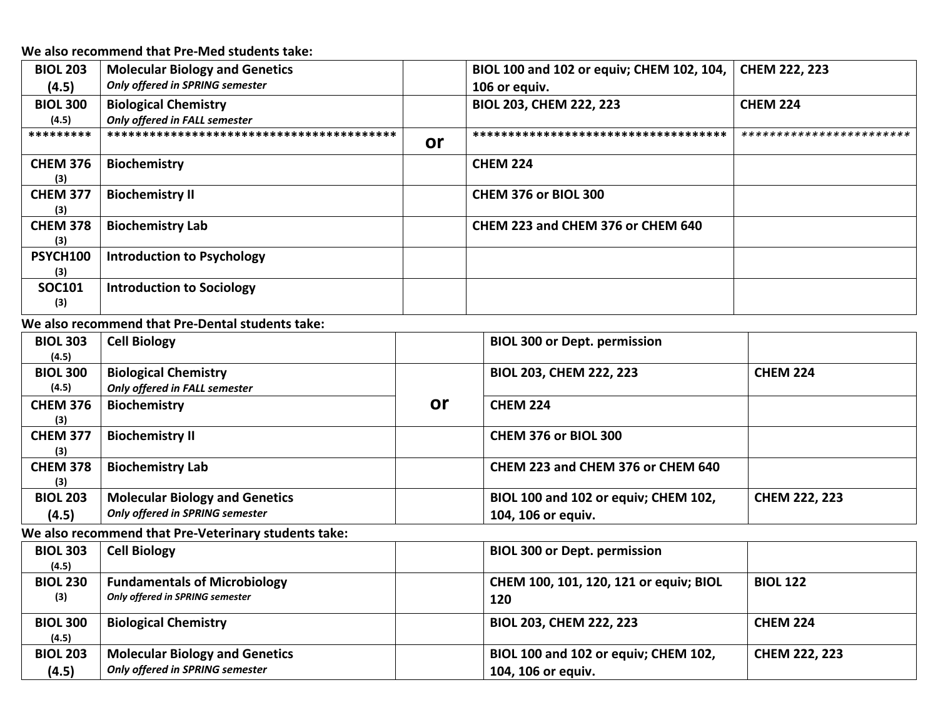**We also recommend that Pre-Med students take:**

| <b>BIOL 203</b>        | <b>Molecular Biology and Genetics</b> |    | BIOL 100 and 102 or equiv; CHEM 102, 104, | <b>CHEM 222, 223</b>     |
|------------------------|---------------------------------------|----|-------------------------------------------|--------------------------|
| (4.5)                  | Only offered in SPRING semester       |    | 106 or equiv.                             |                          |
| <b>BIOL 300</b>        | <b>Biological Chemistry</b>           |    | <b>BIOL 203, CHEM 222, 223</b>            | <b>CHEM 224</b>          |
| (4.5)                  | Only offered in FALL semester         |    |                                           |                          |
| *********              |                                       | or | *************************************     | ************************ |
| <b>CHEM 376</b><br>(3) | <b>Biochemistry</b>                   |    | <b>CHEM 224</b>                           |                          |
| <b>CHEM 377</b><br>(3) | <b>Biochemistry II</b>                |    | CHEM 376 or BIOL 300                      |                          |
| <b>CHEM 378</b><br>(3) | <b>Biochemistry Lab</b>               |    | CHEM 223 and CHEM 376 or CHEM 640         |                          |
| PSYCH100<br>(3)        | <b>Introduction to Psychology</b>     |    |                                           |                          |
| <b>SOC101</b><br>(3)   | <b>Introduction to Sociology</b>      |    |                                           |                          |

**We also recommend that Pre-Dental students take:**

| <b>BIOL 303</b><br>(4.5) | <b>Cell Biology</b>                                          |    | <b>BIOL 300 or Dept. permission</b>  |                      |
|--------------------------|--------------------------------------------------------------|----|--------------------------------------|----------------------|
| <b>BIOL 300</b><br>(4.5) | <b>Biological Chemistry</b><br>Only offered in FALL semester |    | <b>BIOL 203, CHEM 222, 223</b>       | <b>CHEM 224</b>      |
| <b>CHEM 376</b><br>(3)   | <b>Biochemistry</b>                                          | or | <b>CHEM 224</b>                      |                      |
| <b>CHEM 377</b><br>(3)   | <b>Biochemistry II</b>                                       |    | CHEM 376 or BIOL 300                 |                      |
| <b>CHEM 378</b><br>(3)   | <b>Biochemistry Lab</b>                                      |    | CHEM 223 and CHEM 376 or CHEM 640    |                      |
| <b>BIOL 203</b>          | <b>Molecular Biology and Genetics</b>                        |    | BIOL 100 and 102 or equiv; CHEM 102, | <b>CHEM 222, 223</b> |
| (4.5)                    | Only offered in SPRING semester                              |    | 104, 106 or equiv.                   |                      |

# **We also recommend that Pre-Veterinary students take:**

| <b>BIOL 303</b><br>(4.5) | <b>Cell Biology</b>                                                      | <b>BIOL 300 or Dept. permission</b>                        |                      |
|--------------------------|--------------------------------------------------------------------------|------------------------------------------------------------|----------------------|
| <b>BIOL 230</b><br>(3)   | <b>Fundamentals of Microbiology</b><br>Only offered in SPRING semester   | CHEM 100, 101, 120, 121 or equiv; BIOL<br>120              | <b>BIOL 122</b>      |
| <b>BIOL 300</b><br>(4.5) | <b>Biological Chemistry</b>                                              | <b>BIOL 203, CHEM 222, 223</b>                             | <b>CHEM 224</b>      |
| <b>BIOL 203</b><br>(4.5) | <b>Molecular Biology and Genetics</b><br>Only offered in SPRING semester | BIOL 100 and 102 or equiv; CHEM 102,<br>104, 106 or equiv. | <b>CHEM 222, 223</b> |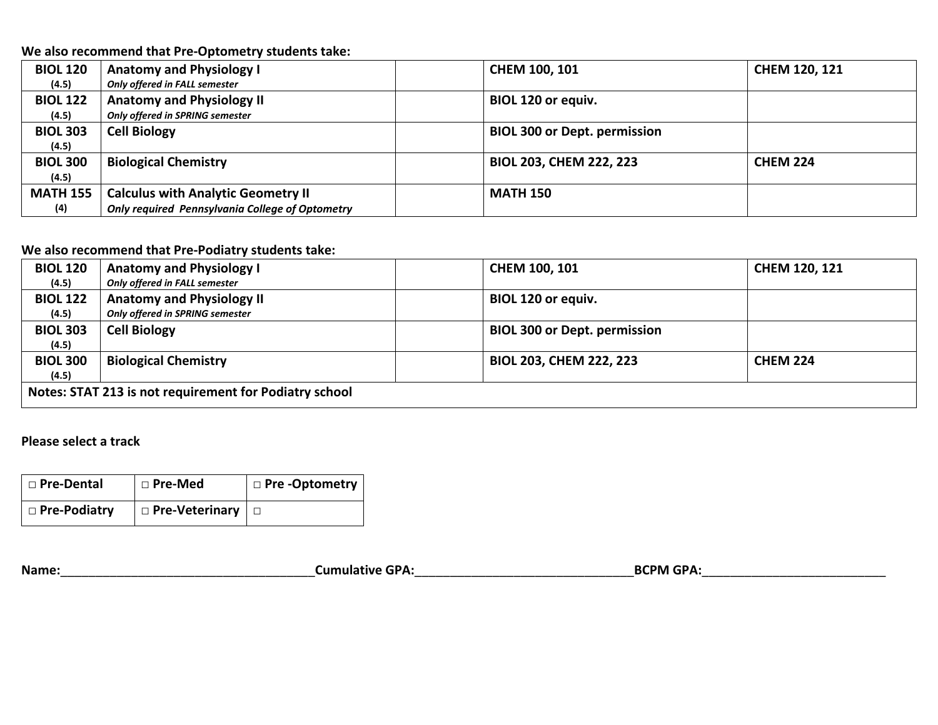**We also recommend that Pre-Optometry students take:**

| <b>BIOL 120</b> | <b>Anatomy and Physiology I</b>                 | <b>CHEM 100, 101</b>                | <b>CHEM 120, 121</b> |
|-----------------|-------------------------------------------------|-------------------------------------|----------------------|
| (4.5)           | Only offered in FALL semester                   |                                     |                      |
| <b>BIOL 122</b> | <b>Anatomy and Physiology II</b>                | <b>BIOL 120 or equiv.</b>           |                      |
| (4.5)           | Only offered in SPRING semester                 |                                     |                      |
| <b>BIOL 303</b> | <b>Cell Biology</b>                             | <b>BIOL 300 or Dept. permission</b> |                      |
| (4.5)           |                                                 |                                     |                      |
| <b>BIOL 300</b> | <b>Biological Chemistry</b>                     | <b>BIOL 203, CHEM 222, 223</b>      | <b>CHEM 224</b>      |
| (4.5)           |                                                 |                                     |                      |
| <b>MATH 155</b> | <b>Calculus with Analytic Geometry II</b>       | <b>MATH 150</b>                     |                      |
| (4)             | Only required Pennsylvania College of Optometry |                                     |                      |

### **We also recommend that Pre-Podiatry students take:**

| <b>BIOL 120</b>                                        | <b>Anatomy and Physiology I</b>  | CHEM 100, 101                       | <b>CHEM 120, 121</b> |  |
|--------------------------------------------------------|----------------------------------|-------------------------------------|----------------------|--|
| (4.5)                                                  | Only offered in FALL semester    |                                     |                      |  |
| <b>BIOL 122</b>                                        | <b>Anatomy and Physiology II</b> | BIOL 120 or equiv.                  |                      |  |
| (4.5)                                                  | Only offered in SPRING semester  |                                     |                      |  |
| <b>BIOL 303</b>                                        | <b>Cell Biology</b>              | <b>BIOL 300 or Dept. permission</b> |                      |  |
| (4.5)                                                  |                                  |                                     |                      |  |
| <b>BIOL 300</b>                                        | <b>Biological Chemistry</b>      | <b>BIOL 203, CHEM 222, 223</b>      | <b>CHEM 224</b>      |  |
| (4.5)                                                  |                                  |                                     |                      |  |
| Notes: STAT 213 is not requirement for Podiatry school |                                  |                                     |                      |  |

## **Please select a track**

| □ Pre-Dental   | $\vert$ $\Box$ Pre-Med | $\vert$ $\Box$ Pre -Optometry |
|----------------|------------------------|-------------------------------|
| □ Pre-Podiatry | □ Pre-Veterinary       |                               |

**Name:**\_\_\_\_\_\_\_\_\_\_\_\_\_\_\_\_\_\_\_\_\_\_\_\_\_\_\_\_\_\_\_\_\_\_\_\_**Cumulative GPA:**\_\_\_\_\_\_\_\_\_\_\_\_\_\_\_\_\_\_\_\_\_\_\_\_\_\_\_\_\_\_\_**BCPM GPA:**\_\_\_\_\_\_\_\_\_\_\_\_\_\_\_\_\_\_\_\_\_\_\_\_\_\_